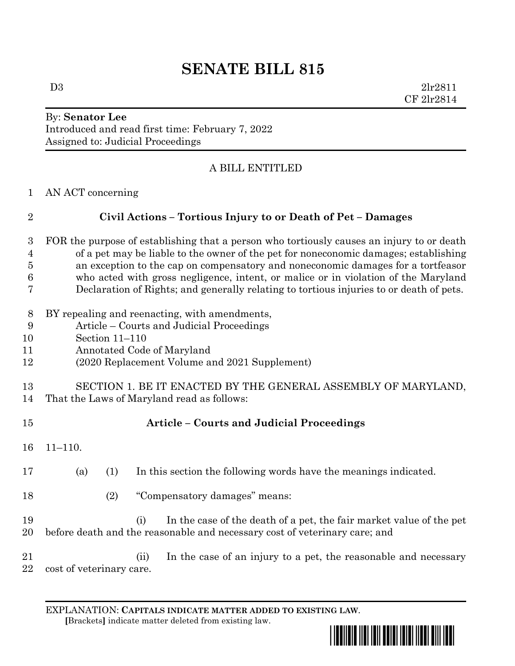# **SENATE BILL 815**

 $D3$   $2lr2811$ CF 2lr2814

### By: **Senator Lee** Introduced and read first time: February 7, 2022 Assigned to: Judicial Proceedings

## A BILL ENTITLED

AN ACT concerning

| $\overline{2}$      | Civil Actions - Tortious Injury to or Death of Pet - Damages                                                                                                                      |
|---------------------|-----------------------------------------------------------------------------------------------------------------------------------------------------------------------------------|
| 3<br>$\overline{4}$ | FOR the purpose of establishing that a person who tortiously causes an injury to or death<br>of a pet may be liable to the owner of the pet for noneconomic damages; establishing |
| 5                   | an exception to the cap on compensatory and noneconomic damages for a tortfeasor                                                                                                  |
| 6                   | who acted with gross negligence, intent, or malice or in violation of the Maryland                                                                                                |
| 7                   | Declaration of Rights; and generally relating to tortious injuries to or death of pets.                                                                                           |
| 8                   | BY repealing and reenacting, with amendments,                                                                                                                                     |
| 9                   | Article – Courts and Judicial Proceedings                                                                                                                                         |
| 10                  | Section 11-110                                                                                                                                                                    |
| 11                  | Annotated Code of Maryland                                                                                                                                                        |
| 12                  | (2020 Replacement Volume and 2021 Supplement)                                                                                                                                     |
| 13                  | SECTION 1. BE IT ENACTED BY THE GENERAL ASSEMBLY OF MARYLAND,                                                                                                                     |
| 14                  | That the Laws of Maryland read as follows:                                                                                                                                        |
| 15                  | <b>Article - Courts and Judicial Proceedings</b>                                                                                                                                  |
| 16                  | $11 - 110.$                                                                                                                                                                       |
| 17                  | (a)<br>(1)<br>In this section the following words have the meanings indicated.                                                                                                    |
| 18                  | "Compensatory damages" means:<br>(2)                                                                                                                                              |
| 19                  | In the case of the death of a pet, the fair market value of the pet<br>(i)                                                                                                        |
| $20\,$              | before death and the reasonable and necessary cost of veterinary care; and                                                                                                        |
| 21<br>22            | In the case of an injury to a pet, the reasonable and necessary<br>(ii)<br>cost of veterinary care.                                                                               |

EXPLANATION: **CAPITALS INDICATE MATTER ADDED TO EXISTING LAW**.  **[**Brackets**]** indicate matter deleted from existing law.